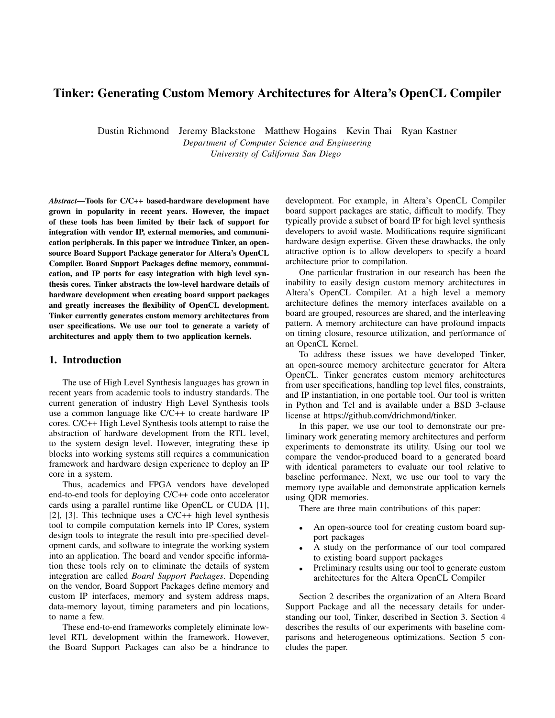# Tinker: Generating Custom Memory Architectures for Altera's OpenCL Compiler

Dustin Richmond Jeremy Blackstone Matthew Hogains Kevin Thai Ryan Kastner *Department of Computer Science and Engineering*

*University of California San Diego*

*Abstract*—Tools for C/C++ based-hardware development have grown in popularity in recent years. However, the impact of these tools has been limited by their lack of support for integration with vendor IP, external memories, and communication peripherals. In this paper we introduce Tinker, an opensource Board Support Package generator for Altera's OpenCL Compiler. Board Support Packages define memory, communication, and IP ports for easy integration with high level synthesis cores. Tinker abstracts the low-level hardware details of hardware development when creating board support packages and greatly increases the flexibility of OpenCL development. Tinker currently generates custom memory architectures from user specifications. We use our tool to generate a variety of architectures and apply them to two application kernels.

### 1. Introduction

The use of High Level Synthesis languages has grown in recent years from academic tools to industry standards. The current generation of industry High Level Synthesis tools use a common language like C/C++ to create hardware IP cores. C/C++ High Level Synthesis tools attempt to raise the abstraction of hardware development from the RTL level, to the system design level. However, integrating these ip blocks into working systems still requires a communication framework and hardware design experience to deploy an IP core in a system.

Thus, academics and FPGA vendors have developed end-to-end tools for deploying C/C++ code onto accelerator cards using a parallel runtime like OpenCL or CUDA [1], [2], [3]. This technique uses a  $C/C++$  high level synthesis tool to compile computation kernels into IP Cores, system design tools to integrate the result into pre-specified development cards, and software to integrate the working system into an application. The board and vendor specific information these tools rely on to eliminate the details of system integration are called *Board Support Packages*. Depending on the vendor, Board Support Packages define memory and custom IP interfaces, memory and system address maps, data-memory layout, timing parameters and pin locations, to name a few.

These end-to-end frameworks completely eliminate lowlevel RTL development within the framework. However, the Board Support Packages can also be a hindrance to development. For example, in Altera's OpenCL Compiler board support packages are static, difficult to modify. They typically provide a subset of board IP for high level synthesis developers to avoid waste. Modifications require significant hardware design expertise. Given these drawbacks, the only attractive option is to allow developers to specify a board architecture prior to compilation.

One particular frustration in our research has been the inability to easily design custom memory architectures in Altera's OpenCL Compiler. At a high level a memory architecture defines the memory interfaces available on a board are grouped, resources are shared, and the interleaving pattern. A memory architecture can have profound impacts on timing closure, resource utilization, and performance of an OpenCL Kernel.

To address these issues we have developed Tinker, an open-source memory architecture generator for Altera OpenCL. Tinker generates custom memory architectures from user specifications, handling top level files, constraints, and IP instantiation, in one portable tool. Our tool is written in Python and Tcl and is available under a BSD 3-clause license at https://github.com/drichmond/tinker.

In this paper, we use our tool to demonstrate our preliminary work generating memory architectures and perform experiments to demonstrate its utility. Using our tool we compare the vendor-produced board to a generated board with identical parameters to evaluate our tool relative to baseline performance. Next, we use our tool to vary the memory type available and demonstrate application kernels using QDR memories.

There are three main contributions of this paper:

- An open-source tool for creating custom board support packages
- A study on the performance of our tool compared to existing board support packages
- Preliminary results using our tool to generate custom architectures for the Altera OpenCL Compiler

Section 2 describes the organization of an Altera Board Support Package and all the necessary details for understanding our tool, Tinker, described in Section 3. Section 4 describes the results of our experiments with baseline comparisons and heterogeneous optimizations. Section 5 concludes the paper.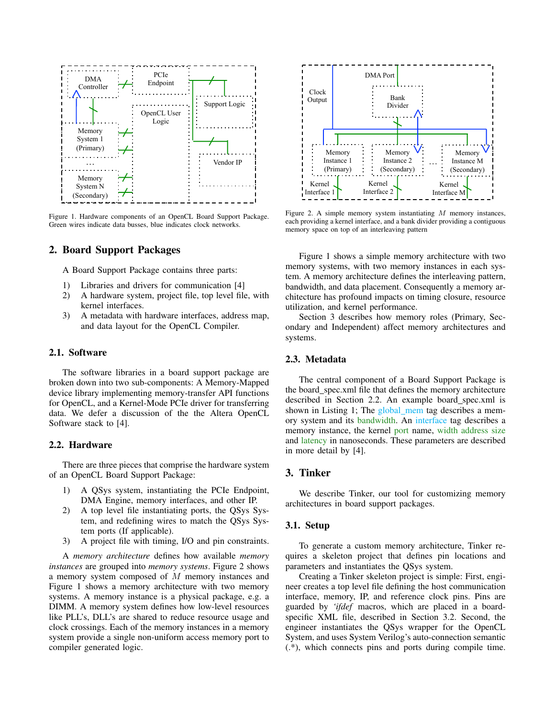

Figure 1. Hardware components of an OpenCL Board Support Package. Green wires indicate data busses, blue indicates clock networks.

## 2. Board Support Packages

A Board Support Package contains three parts:

- 1) Libraries and drivers for communication [4]
- 2) A hardware system, project file, top level file, with kernel interfaces.
- 3) A metadata with hardware interfaces, address map, and data layout for the OpenCL Compiler.

#### 2.1. Software

The software libraries in a board support package are broken down into two sub-components: A Memory-Mapped device library implementing memory-transfer API functions for OpenCL, and a Kernel-Mode PCIe driver for transferring data. We defer a discussion of the the Altera OpenCL Software stack to [4].

#### 2.2. Hardware

There are three pieces that comprise the hardware system of an OpenCL Board Support Package:

- 1) A QSys system, instantiating the PCIe Endpoint, DMA Engine, memory interfaces, and other IP.
- 2) A top level file instantiating ports, the QSys System, and redefining wires to match the QSys System ports (If applicable).
- 3) A project file with timing, I/O and pin constraints.

A *memory architecture* defines how available *memory instances* are grouped into *memory systems*. Figure 2 shows a memory system composed of M memory instances and Figure 1 shows a memory architecture with two memory systems. A memory instance is a physical package, e.g. a DIMM. A memory system defines how low-level resources like PLL's, DLL's are shared to reduce resource usage and clock crossings. Each of the memory instances in a memory system provide a single non-uniform access memory port to compiler generated logic.



Figure 2. A simple memory system instantiating  $M$  memory instances, each providing a kernel interface, and a bank divider providing a contiguous memory space on top of an interleaving pattern

Figure 1 shows a simple memory architecture with two memory systems, with two memory instances in each system. A memory architecture defines the interleaving pattern, bandwidth, and data placement. Consequently a memory architecture has profound impacts on timing closure, resource utilization, and kernel performance.

Section 3 describes how memory roles (Primary, Secondary and Independent) affect memory architectures and systems.

### 2.3. Metadata

The central component of a Board Support Package is the board spec.xml file that defines the memory architecture described in Section 2.2. An example board spec.xml is shown in Listing 1; The global mem tag describes a memory system and its bandwidth. An interface tag describes a memory instance, the kernel port name, width address size and latency in nanoseconds. These parameters are described in more detail by [4].

### 3. Tinker

We describe Tinker, our tool for customizing memory architectures in board support packages.

### 3.1. Setup

To generate a custom memory architecture, Tinker requires a skeleton project that defines pin locations and parameters and instantiates the QSys system.

Creating a Tinker skeleton project is simple: First, engineer creates a top level file defining the host communication interface, memory, IP, and reference clock pins. Pins are guarded by *'ifdef* macros, which are placed in a boardspecific XML file, described in Section 3.2. Second, the engineer instantiates the QSys wrapper for the OpenCL System, and uses System Verilog's auto-connection semantic (.\*), which connects pins and ports during compile time.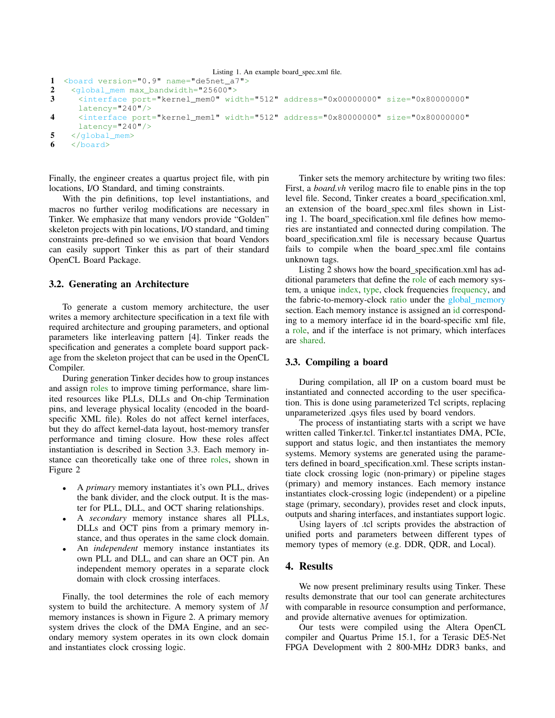```
Listing 1. An example board_spec.xml file.
1 <board version="0.9" name="de5net_a7">
2 < sqlobal_mem max_bandwidth="25600"><br>3 <interface port="kernel mem0" wic
      3 <interface port="kernel_mem0" width="512" address="0x00000000" size="0x80000000"
      latency="240"/>
4 <interface port="kernel_mem1" width="512" address="0x80000000" size="0x80000000"
      latency="240"/>
5 </global_mem>
6 \leq/board>
```
Finally, the engineer creates a quartus project file, with pin locations, I/O Standard, and timing constraints.

With the pin definitions, top level instantiations, and macros no further verilog modifications are necessary in Tinker. We emphasize that many vendors provide "Golden" skeleton projects with pin locations, I/O standard, and timing constraints pre-defined so we envision that board Vendors can easily support Tinker this as part of their standard OpenCL Board Package.

## 3.2. Generating an Architecture

To generate a custom memory architecture, the user writes a memory architecture specification in a text file with required architecture and grouping parameters, and optional parameters like interleaving pattern [4]. Tinker reads the specification and generates a complete board support package from the skeleton project that can be used in the OpenCL Compiler.

During generation Tinker decides how to group instances and assign roles to improve timing performance, share limited resources like PLLs, DLLs and On-chip Termination pins, and leverage physical locality (encoded in the boardspecific XML file). Roles do not affect kernel interfaces, but they do affect kernel-data layout, host-memory transfer performance and timing closure. How these roles affect instantiation is described in Section 3.3. Each memory instance can theoretically take one of three roles, shown in Figure 2

- A *primary* memory instantiates it's own PLL, drives the bank divider, and the clock output. It is the master for PLL, DLL, and OCT sharing relationships.
- A *secondary* memory instance shares all PLLs, DLLs and OCT pins from a primary memory instance, and thus operates in the same clock domain.
- An *independent* memory instance instantiates its own PLL and DLL, and can share an OCT pin. An independent memory operates in a separate clock domain with clock crossing interfaces.

Finally, the tool determines the role of each memory system to build the architecture. A memory system of M memory instances is shown in Figure 2. A primary memory system drives the clock of the DMA Engine, and an secondary memory system operates in its own clock domain and instantiates clock crossing logic.

Tinker sets the memory architecture by writing two files: First, a *board.vh* verilog macro file to enable pins in the top level file. Second, Tinker creates a board specification.xml, an extension of the board\_spec.xml files shown in Listing 1. The board\_specification.xml file defines how memories are instantiated and connected during compilation. The board specification.xml file is necessary because Quartus fails to compile when the board\_spec.xml file contains unknown tags.

Listing 2 shows how the board\_specification.xml has additional parameters that define the role of each memory system, a unique index, type, clock frequencies frequency, and the fabric-to-memory-clock ratio under the global memory section. Each memory instance is assigned an id corresponding to a memory interface id in the board-specific xml file, a role, and if the interface is not primary, which interfaces are shared.

### 3.3. Compiling a board

During compilation, all IP on a custom board must be instantiated and connected according to the user specification. This is done using parameterized Tcl scripts, replacing unparameterized .qsys files used by board vendors.

The process of instantiating starts with a script we have written called Tinker.tcl. Tinker.tcl instantiates DMA, PCIe, support and status logic, and then instantiates the memory systems. Memory systems are generated using the parameters defined in board\_specification.xml. These scripts instantiate clock crossing logic (non-primary) or pipeline stages (primary) and memory instances. Each memory instance instantiates clock-crossing logic (independent) or a pipeline stage (primary, secondary), provides reset and clock inputs, outputs and sharing interfaces, and instantiates support logic.

Using layers of .tcl scripts provides the abstraction of unified ports and parameters between different types of memory types of memory (e.g. DDR, QDR, and Local).

# 4. Results

We now present preliminary results using Tinker. These results demonstrate that our tool can generate architectures with comparable in resource consumption and performance, and provide alternative avenues for optimization.

Our tests were compiled using the Altera OpenCL compiler and Quartus Prime 15.1, for a Terasic DE5-Net FPGA Development with 2 800-MHz DDR3 banks, and